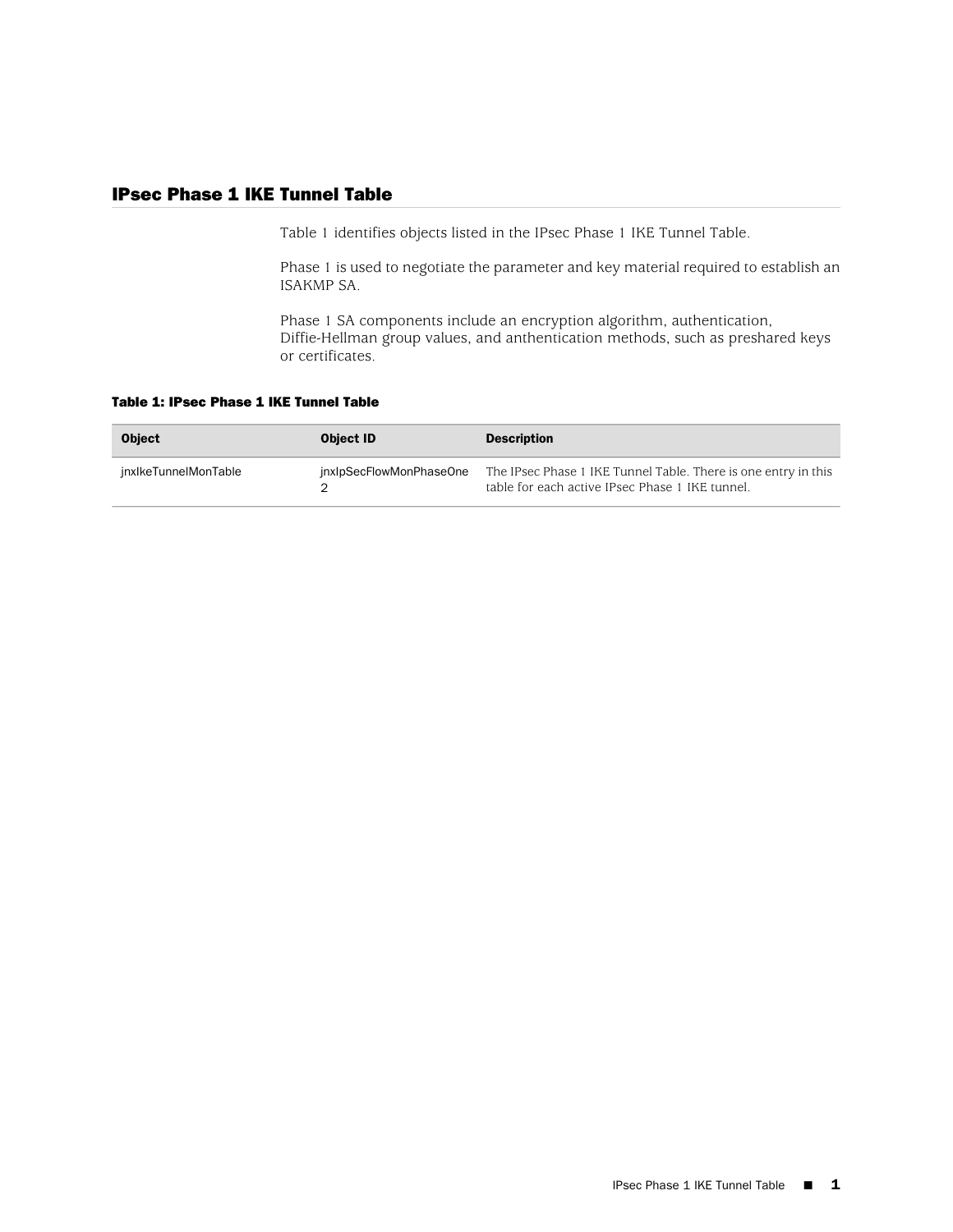## IPsec Phase 1 IKE Tunnel Table

[Table 1](#page-0-0) identifies objects listed in the IPsec Phase 1 IKE Tunnel Table.

Phase 1 is used to negotiate the parameter and key material required to establish an ISAKMP SA.

<span id="page-0-0"></span>Phase 1 SA components include an encryption algorithm, authentication, Diffie-Hellman group values, and anthentication methods, such as preshared keys or certificates.

#### Table 1: IPsec Phase 1 IKE Tunnel Table

| <b>Object</b>        | Object ID               | <b>Description</b>                                                                                                |
|----------------------|-------------------------|-------------------------------------------------------------------------------------------------------------------|
| inxIkeTunnelMonTable | jnxlpSecFlowMonPhaseOne | The IPsec Phase 1 IKE Tunnel Table. There is one entry in this<br>table for each active IPsec Phase 1 IKE tunnel. |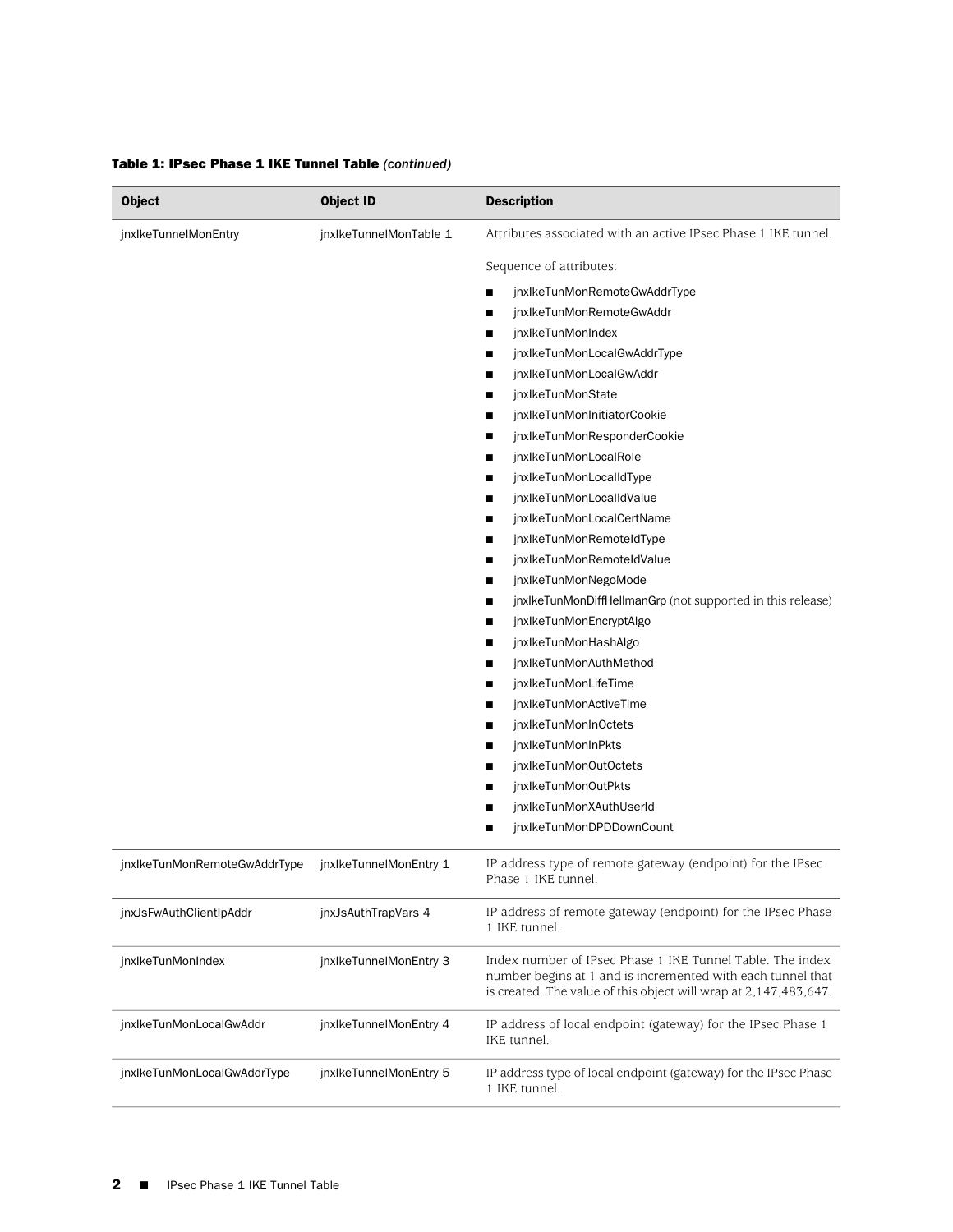# Table 1: IPsec Phase 1 IKE Tunnel Table *(continued)*

| <b>Object</b>                | <b>Object ID</b>       | <b>Description</b>                                                                                                                                                                           |
|------------------------------|------------------------|----------------------------------------------------------------------------------------------------------------------------------------------------------------------------------------------|
| jnxlkeTunnelMonEntry         | jnxlkeTunnelMonTable 1 | Attributes associated with an active IPsec Phase 1 IKE tunnel.                                                                                                                               |
|                              |                        | Sequence of attributes:                                                                                                                                                                      |
|                              |                        | jnxlkeTunMonRemoteGwAddrType                                                                                                                                                                 |
|                              |                        | jnxlkeTunMonRemoteGwAddr                                                                                                                                                                     |
|                              |                        | jnxlkeTunMonIndex<br>ш                                                                                                                                                                       |
|                              |                        | jnxlkeTunMonLocalGwAddrType<br>ш                                                                                                                                                             |
|                              |                        | jnxlkeTunMonLocalGwAddr<br>ш                                                                                                                                                                 |
|                              |                        | jnxlkeTunMonState                                                                                                                                                                            |
|                              |                        | jnxlkeTunMonInitiatorCookie                                                                                                                                                                  |
|                              |                        | jnxlkeTunMonResponderCookie                                                                                                                                                                  |
|                              |                        | jnxlkeTunMonLocalRole                                                                                                                                                                        |
|                              |                        | jnxlkeTunMonLocalIdType<br>ш                                                                                                                                                                 |
|                              |                        | jnxlkeTunMonLocalIdValue<br>ш                                                                                                                                                                |
|                              |                        | jnxlkeTunMonLocalCertName<br>ш                                                                                                                                                               |
|                              |                        | jnxlkeTunMonRemoteIdType                                                                                                                                                                     |
|                              |                        | jnxlkeTunMonRemoteIdValue                                                                                                                                                                    |
|                              |                        | jnxlkeTunMonNegoMode<br>ш                                                                                                                                                                    |
|                              |                        | jnxlkeTunMonDiffHellmanGrp (not supported in this release)<br>п                                                                                                                              |
|                              |                        | jnxlkeTunMonEncryptAlgo<br>ш                                                                                                                                                                 |
|                              |                        | jnxlkeTunMonHashAlgo                                                                                                                                                                         |
|                              |                        | jnxlkeTunMonAuthMethod                                                                                                                                                                       |
|                              |                        | jnxlkeTunMonLifeTime                                                                                                                                                                         |
|                              |                        | jnxlkeTunMonActiveTime<br>ш                                                                                                                                                                  |
|                              |                        | jnxlkeTunMonInOctets<br>ш                                                                                                                                                                    |
|                              |                        | jnxlkeTunMonInPkts<br>ш                                                                                                                                                                      |
|                              |                        | jnxlkeTunMonOutOctets<br>ш                                                                                                                                                                   |
|                              |                        | jnxlkeTunMonOutPkts                                                                                                                                                                          |
|                              |                        | jnxlkeTunMonXAuthUserId                                                                                                                                                                      |
|                              |                        | jnxlkeTunMonDPDDownCount<br>ш                                                                                                                                                                |
| jnxlkeTunMonRemoteGwAddrType | jnxlkeTunnelMonEntry 1 | IP address type of remote gateway (endpoint) for the IPsec<br>Phase 1 IKE tunnel.                                                                                                            |
| jnxJsFwAuthClientIpAddr      | jnxJsAuthTrapVars 4    | IP address of remote gateway (endpoint) for the IPsec Phase<br>1 IKE tunnel.                                                                                                                 |
| jnxlkeTunMonIndex            | jnxlkeTunnelMonEntry 3 | Index number of IPsec Phase 1 IKE Tunnel Table. The index<br>number begins at 1 and is incremented with each tunnel that<br>is created. The value of this object will wrap at 2,147,483,647. |
| jnxlkeTunMonLocalGwAddr      | jnxlkeTunnelMonEntry 4 | IP address of local endpoint (gateway) for the IPsec Phase 1<br>IKE tunnel.                                                                                                                  |
| jnxlkeTunMonLocalGwAddrType  | jnxlkeTunnelMonEntry 5 | IP address type of local endpoint (gateway) for the IPsec Phase<br>1 IKE tunnel.                                                                                                             |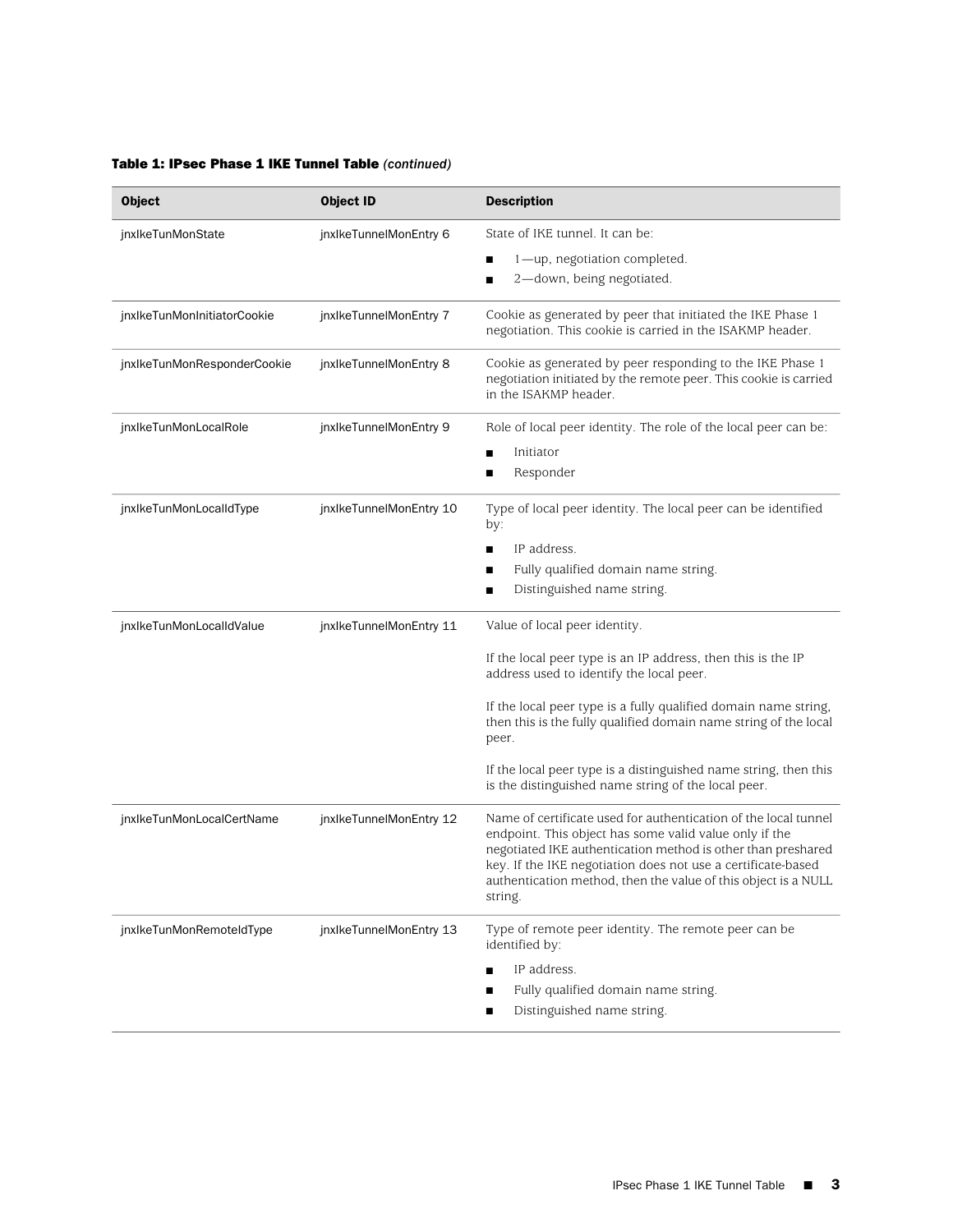# Table 1: IPsec Phase 1 IKE Tunnel Table *(continued)*

| Object                      | <b>Object ID</b>        | <b>Description</b>                                                                                                                                                                                                                                                                                                                     |
|-----------------------------|-------------------------|----------------------------------------------------------------------------------------------------------------------------------------------------------------------------------------------------------------------------------------------------------------------------------------------------------------------------------------|
| jnxlkeTunMonState           | jnxlkeTunnelMonEntry 6  | State of IKE tunnel. It can be:                                                                                                                                                                                                                                                                                                        |
|                             |                         | 1-up, negotiation completed.                                                                                                                                                                                                                                                                                                           |
|                             |                         | 2-down, being negotiated.                                                                                                                                                                                                                                                                                                              |
| jnxlkeTunMonInitiatorCookie | jnxlkeTunnelMonEntry 7  | Cookie as generated by peer that initiated the IKE Phase 1<br>negotiation. This cookie is carried in the ISAKMP header.                                                                                                                                                                                                                |
| jnxlkeTunMonResponderCookie | jnxlkeTunnelMonEntry 8  | Cookie as generated by peer responding to the IKE Phase 1<br>negotiation initiated by the remote peer. This cookie is carried<br>in the ISAKMP header.                                                                                                                                                                                 |
| jnxlkeTunMonLocalRole       | jnxlkeTunnelMonEntry 9  | Role of local peer identity. The role of the local peer can be:                                                                                                                                                                                                                                                                        |
|                             |                         | Initiator                                                                                                                                                                                                                                                                                                                              |
|                             |                         | Responder                                                                                                                                                                                                                                                                                                                              |
| jnxlkeTunMonLocalIdType     | jnxlkeTunnelMonEntry 10 | Type of local peer identity. The local peer can be identified<br>by:                                                                                                                                                                                                                                                                   |
|                             |                         | IP address.                                                                                                                                                                                                                                                                                                                            |
|                             |                         | Fully qualified domain name string.                                                                                                                                                                                                                                                                                                    |
|                             |                         | Distinguished name string.                                                                                                                                                                                                                                                                                                             |
| jnxlkeTunMonLocalIdValue    | jnxlkeTunnelMonEntry 11 | Value of local peer identity.                                                                                                                                                                                                                                                                                                          |
|                             |                         | If the local peer type is an IP address, then this is the IP<br>address used to identify the local peer.                                                                                                                                                                                                                               |
|                             |                         | If the local peer type is a fully qualified domain name string,<br>then this is the fully qualified domain name string of the local<br>peer.                                                                                                                                                                                           |
|                             |                         | If the local peer type is a distinguished name string, then this<br>is the distinguished name string of the local peer.                                                                                                                                                                                                                |
| jnxlkeTunMonLocalCertName   | jnxlkeTunnelMonEntry 12 | Name of certificate used for authentication of the local tunnel<br>endpoint. This object has some valid value only if the<br>negotiated IKE authentication method is other than preshared<br>key. If the IKE negotiation does not use a certificate-based<br>authentication method, then the value of this object is a NULL<br>string. |
| jnxlkeTunMonRemoteIdType    | jnxlkeTunnelMonEntry 13 | Type of remote peer identity. The remote peer can be<br>identified by:                                                                                                                                                                                                                                                                 |
|                             |                         | IP address.                                                                                                                                                                                                                                                                                                                            |
|                             |                         | Fully qualified domain name string.                                                                                                                                                                                                                                                                                                    |
|                             |                         | Distinguished name string.                                                                                                                                                                                                                                                                                                             |
|                             |                         |                                                                                                                                                                                                                                                                                                                                        |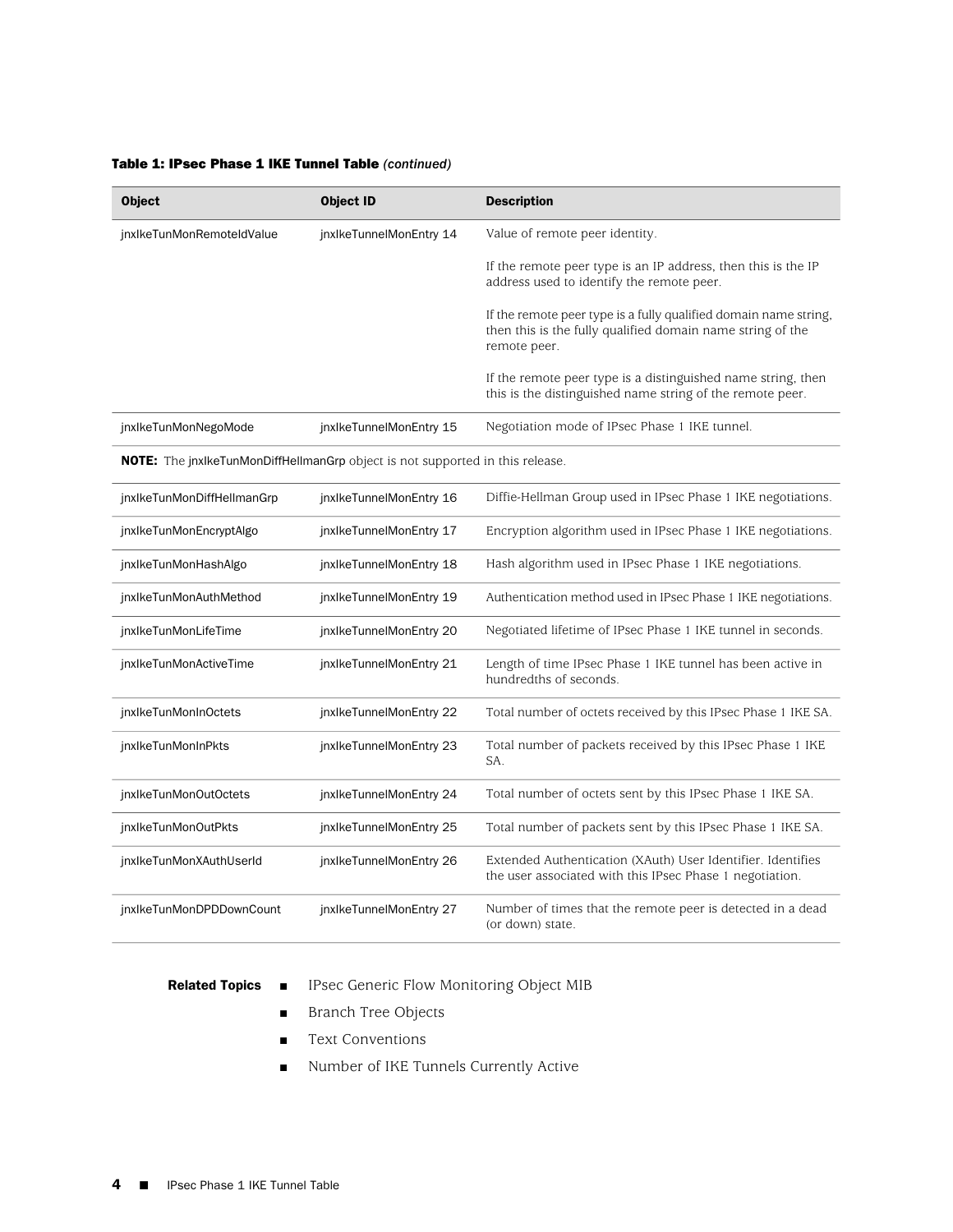## Table 1: IPsec Phase 1 IKE Tunnel Table *(continued)*

| Object                                                                        | <b>Object ID</b>        | <b>Description</b>                                                                                                                             |  |  |
|-------------------------------------------------------------------------------|-------------------------|------------------------------------------------------------------------------------------------------------------------------------------------|--|--|
| jnxlkeTunMonRemoteIdValue                                                     | jnxlkeTunnelMonEntry 14 | Value of remote peer identity.                                                                                                                 |  |  |
|                                                                               |                         | If the remote peer type is an IP address, then this is the IP<br>address used to identify the remote peer.                                     |  |  |
|                                                                               |                         | If the remote peer type is a fully qualified domain name string,<br>then this is the fully qualified domain name string of the<br>remote peer. |  |  |
|                                                                               |                         | If the remote peer type is a distinguished name string, then<br>this is the distinguished name string of the remote peer.                      |  |  |
| jnxlkeTunMonNegoMode                                                          | jnxlkeTunnelMonEntry 15 | Negotiation mode of IPsec Phase 1 IKE tunnel.                                                                                                  |  |  |
| NOTE: The jnxlkeTunMonDiffHellmanGrp object is not supported in this release. |                         |                                                                                                                                                |  |  |
| jnxlkeTunMonDiffHellmanGrp                                                    | jnxlkeTunnelMonEntry 16 | Diffie-Hellman Group used in IPsec Phase 1 IKE negotiations.                                                                                   |  |  |
| jnxlkeTunMonEncryptAlgo                                                       | jnxlkeTunnelMonEntry 17 | Encryption algorithm used in IPsec Phase 1 IKE negotiations.                                                                                   |  |  |
| jnxlkeTunMonHashAlgo                                                          | jnxlkeTunnelMonEntry 18 | Hash algorithm used in IPsec Phase 1 IKE negotiations.                                                                                         |  |  |
| jnxlkeTunMonAuthMethod                                                        | jnxlkeTunnelMonEntry 19 | Authentication method used in IPsec Phase 1 IKE negotiations.                                                                                  |  |  |
| jnxlkeTunMonLifeTime                                                          | jnxlkeTunnelMonEntry 20 | Negotiated lifetime of IPsec Phase 1 IKE tunnel in seconds.                                                                                    |  |  |
| jnxlkeTunMonActiveTime                                                        | jnxlkeTunnelMonEntry 21 | Length of time IPsec Phase 1 IKE tunnel has been active in<br>hundredths of seconds.                                                           |  |  |
| jnxlkeTunMonInOctets                                                          | jnxlkeTunnelMonEntry 22 | Total number of octets received by this IPsec Phase 1 IKE SA.                                                                                  |  |  |
| jnxlkeTunMonInPkts                                                            | jnxlkeTunnelMonEntry 23 | Total number of packets received by this IPsec Phase 1 IKE<br>SA.                                                                              |  |  |
| jnxlkeTunMonOutOctets                                                         | jnxlkeTunnelMonEntry 24 | Total number of octets sent by this IPsec Phase 1 IKE SA.                                                                                      |  |  |
| jnxlkeTunMonOutPkts                                                           | jnxlkeTunnelMonEntry 25 | Total number of packets sent by this IPsec Phase 1 IKE SA.                                                                                     |  |  |
| jnxlkeTunMonXAuthUserId                                                       | jnxlkeTunnelMonEntry 26 | Extended Authentication (XAuth) User Identifier. Identifies<br>the user associated with this IPsec Phase 1 negotiation.                        |  |  |
| jnxlkeTunMonDPDDownCount                                                      | jnxlkeTunnelMonEntry 27 | Number of times that the remote peer is detected in a dead<br>(or down) state.                                                                 |  |  |

- **Related Topics** IPsec Generic Flow Monitoring Object MIB
	- Branch Tree Objects
	- Text Conventions
	- Number of IKE Tunnels Currently Active